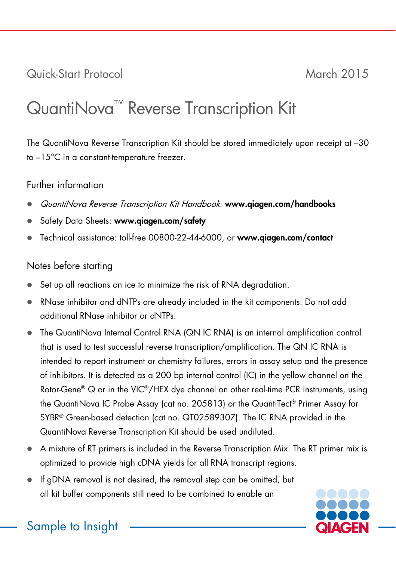Quick-Start Protocol March 2015

## QuantiNova™ Reverse Transcription Kit

The QuantiNova Reverse Transcription Kit should be stored immediately upon receipt at –30 to –15°C in a constant-temperature freezer.

## Further information

- QuantiNova Reverse Transcription Kit Handbook: www.qiagen.com/handbooks
- Safety Data Sheets: www.qiagen.com/safety
- Technical assistance: toll-free 00800-22-44-6000, or www.qiagen.com/contact

## Notes before starting

- Set up all reactions on ice to minimize the risk of RNA degradation.
- RNase inhibitor and dNTPs are already included in the kit components. Do not add additional RNase inhibitor or dNTPs.
- The QuantiNova Internal Control RNA (QN IC RNA) is an internal amplification control that is used to test successful reverse transcription/amplification. The QN IC RNA is intended to report instrument or chemistry failures, errors in assay setup and the presence of inhibitors. It is detected as a 200 bp internal control (IC) in the yellow channel on the Rotor-Gene® Q or in the VIC®/HEX dye channel on other real-time PCR instruments, using the QuantiNova IC Probe Assay (cat no. 205813) or the QuantiTect® Primer Assay for SYBR® Green-based detection (cat no. QT02589307). The IC RNA provided in the QuantiNova Reverse Transcription Kit should be used undiluted.
- A mixture of RT primers is included in the Reverse Transcription Mix. The RT primer mix is optimized to provide high cDNA yields for all RNA transcript regions.
- If gDNA removal is not desired, the removal step can be omitted, but all kit buffer components still need to be combined to enable an



Sample to Insight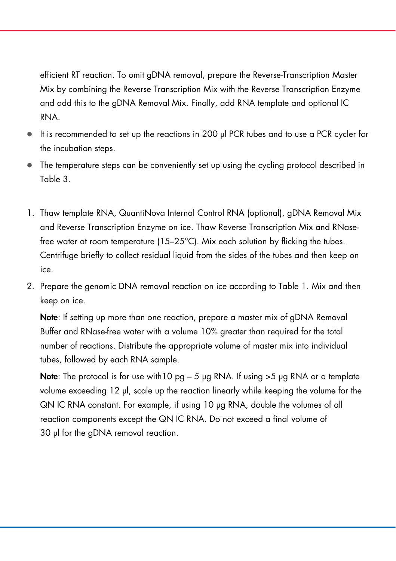efficient RT reaction. To omit gDNA removal, prepare the Reverse-Transcription Master Mix by combining the Reverse Transcription Mix with the Reverse Transcription Enzyme and add this to the gDNA Removal Mix. Finally, add RNA template and optional IC RNA.

- $\bullet$  It is recommended to set up the reactions in 200 μl PCR tubes and to use a PCR cycler for the incubation steps.
- The temperature steps can be conveniently set up using the cycling protocol described in Table 3.
- 1. Thaw template RNA, QuantiNova Internal Control RNA (optional), gDNA Removal Mix and Reverse Transcription Enzyme on ice. Thaw Reverse Transcription Mix and RNasefree water at room temperature (15–25°C). Mix each solution by flicking the tubes. Centrifuge briefly to collect residual liquid from the sides of the tubes and then keep on ice.
- 2. Prepare the genomic DNA removal reaction on ice according to Table 1. Mix and then keep on ice.

Note: If setting up more than one reaction, prepare a master mix of gDNA Removal Buffer and RNase-free water with a volume 10% greater than required for the total number of reactions. Distribute the appropriate volume of master mix into individual tubes, followed by each RNA sample.

Note: The protocol is for use with  $10$  pg  $-5$  µg RNA. If using  $>5$  µg RNA or a template volume exceeding 12 μl, scale up the reaction linearly while keeping the volume for the QN IC RNA constant. For example, if using 10 μg RNA, double the volumes of all reaction components except the QN IC RNA. Do not exceed a final volume of 30 μl for the gDNA removal reaction.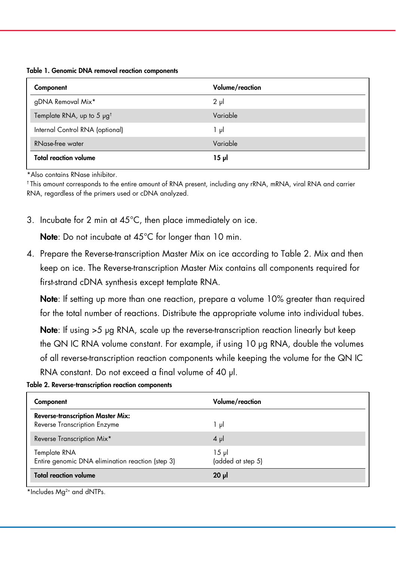Table 1. Genomic DNA removal reaction components

| Component                                  | Volume/reaction |
|--------------------------------------------|-----------------|
| gDNA Removal Mix*                          | $2 \mu$         |
| Template RNA, up to 5 $\mu$ g <sup>t</sup> | Variable        |
| Internal Control RNA (optional)            | ار 1            |
| RNase-free water                           | Variable        |
| <b>Total reaction volume</b>               | 15 թվ           |

\*Also contains RNase inhibitor.

† This amount corresponds to the entire amount of RNA present, including any rRNA, mRNA, viral RNA and carrier RNA, regardless of the primers used or cDNA analyzed.

3. Incubate for 2 min at 45°C, then place immediately on ice.

Note: Do not incubate at 45°C for longer than 10 min.

4. Prepare the Reverse-transcription Master Mix on ice according to Table 2. Mix and then keep on ice. The Reverse-transcription Master Mix contains all components required for first-strand cDNA synthesis except template RNA.

Note: If setting up more than one reaction, prepare a volume 10% greater than required for the total number of reactions. Distribute the appropriate volume into individual tubes.

Note: If using >5 μg RNA, scale up the reverse-transcription reaction linearly but keep the QN IC RNA volume constant. For example, if using 10 μg RNA, double the volumes of all reverse-transcription reaction components while keeping the volume for the QN IC RNA constant. Do not exceed a final volume of 40 μl.

| Table 2. Reverse-transcription reaction components |  |  |  |
|----------------------------------------------------|--|--|--|
|----------------------------------------------------|--|--|--|

| Component                                                                | Volume/reaction               |
|--------------------------------------------------------------------------|-------------------------------|
| <b>Reverse-transcription Master Mix:</b><br>Reverse Transcription Enzyme | 1 μl                          |
| Reverse Transcription Mix*                                               | $4 \mu$                       |
| Template RNA<br>Entire genomic DNA elimination reaction (step 3)         | $15 \mu$<br>(added at step 5) |
| <b>Total reaction volume</b>                                             | $20 \mu$                      |

\*Includes Mg<sup>2+</sup> and dNTPs.